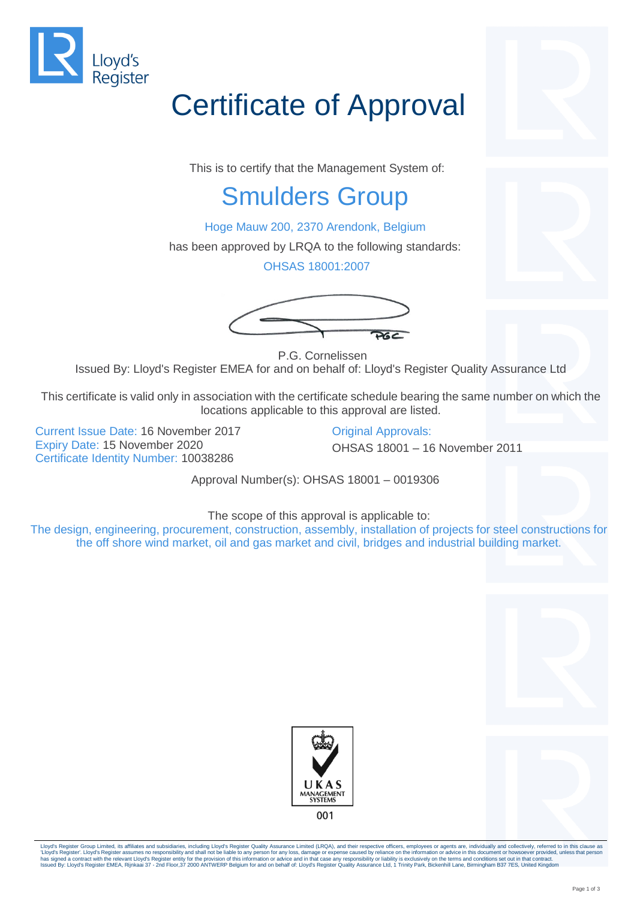

## Certificate of Approval

This is to certify that the Management System of:

## Smulders Group

Hoge Mauw 200, 2370 Arendonk, Belgium

has been approved by LRQA to the following standards:

OHSAS 18001:2007



P.G. Cornelissen Issued By: Lloyd's Register EMEA for and on behalf of: Lloyd's Register Quality Assurance Ltd

This certificate is valid only in association with the certificate schedule bearing the same number on which the locations applicable to this approval are listed.

Current Issue Date: 16 November 2017 Qriginal Approvals: Expiry Date: 15 November 2020 OHSAS 18001 – 16 November 2011 Certificate Identity Number: 10038286

Approval Number(s): OHSAS 18001 – 0019306

The scope of this approval is applicable to:

The design, engineering, procurement, construction, assembly, installation of projects for steel constructions for the off shore wind market, oil and gas market and civil, bridges and industrial building market.







Lloyd's Register Group Limited, its affiliates and subsidiaries, including Lloyd's Register Quality Assurance Limited (LRQA), and their respective officers, employees or agents are, individually and collectively, referred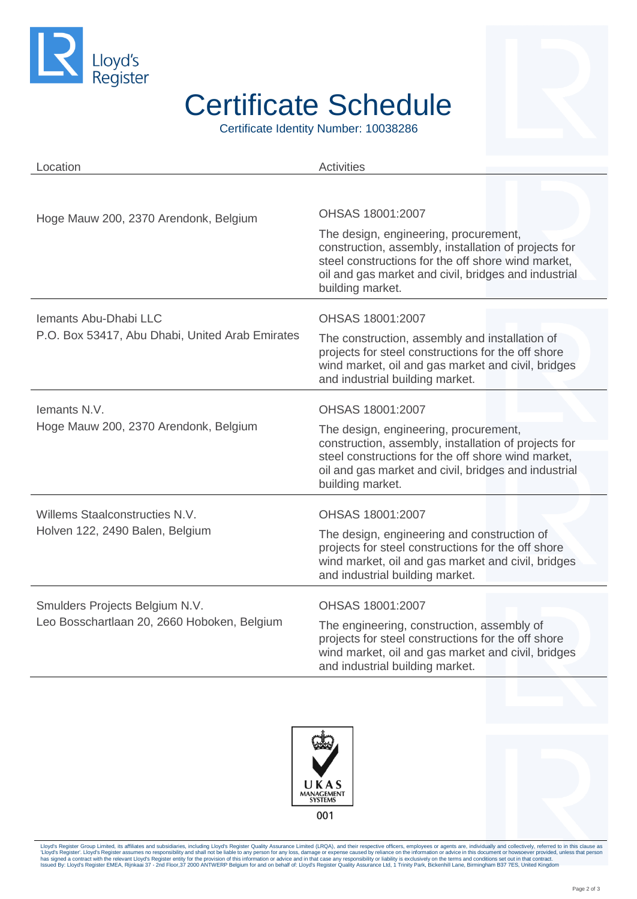

## Certificate Schedule

Certificate Identity Number: 10038286

| Location                                                                      | <b>Activities</b>                                                                                                                                                                                                               |
|-------------------------------------------------------------------------------|---------------------------------------------------------------------------------------------------------------------------------------------------------------------------------------------------------------------------------|
|                                                                               |                                                                                                                                                                                                                                 |
| Hoge Mauw 200, 2370 Arendonk, Belgium                                         | OHSAS 18001:2007                                                                                                                                                                                                                |
|                                                                               | The design, engineering, procurement,<br>construction, assembly, installation of projects for<br>steel constructions for the off shore wind market,<br>oil and gas market and civil, bridges and industrial<br>building market. |
| Iemants Abu-Dhabi LLC                                                         | OHSAS 18001:2007                                                                                                                                                                                                                |
| P.O. Box 53417, Abu Dhabi, United Arab Emirates                               | The construction, assembly and installation of<br>projects for steel constructions for the off shore<br>wind market, oil and gas market and civil, bridges<br>and industrial building market.                                   |
| lemants N.V.<br>Hoge Mauw 200, 2370 Arendonk, Belgium                         | OHSAS 18001:2007                                                                                                                                                                                                                |
|                                                                               | The design, engineering, procurement,<br>construction, assembly, installation of projects for<br>steel constructions for the off shore wind market,<br>oil and gas market and civil, bridges and industrial<br>building market. |
| Willems Staalconstructies N.V.<br>Holven 122, 2490 Balen, Belgium             | OHSAS 18001:2007                                                                                                                                                                                                                |
|                                                                               | The design, engineering and construction of<br>projects for steel constructions for the off shore<br>wind market, oil and gas market and civil, bridges<br>and industrial building market.                                      |
| Smulders Projects Belgium N.V.<br>Leo Bosschartlaan 20, 2660 Hoboken, Belgium | OHSAS 18001:2007                                                                                                                                                                                                                |
|                                                                               | The engineering, construction, assembly of<br>projects for steel constructions for the off shore<br>wind market, oil and gas market and civil, bridges<br>and industrial building market.                                       |





Lloyd's Register Group Limited, its affiliates and subsidiaries, including Lloyd's Register Quality Assurance Limited (LRQA), and their respective officers, employees or agents are, individually and collectively, referred